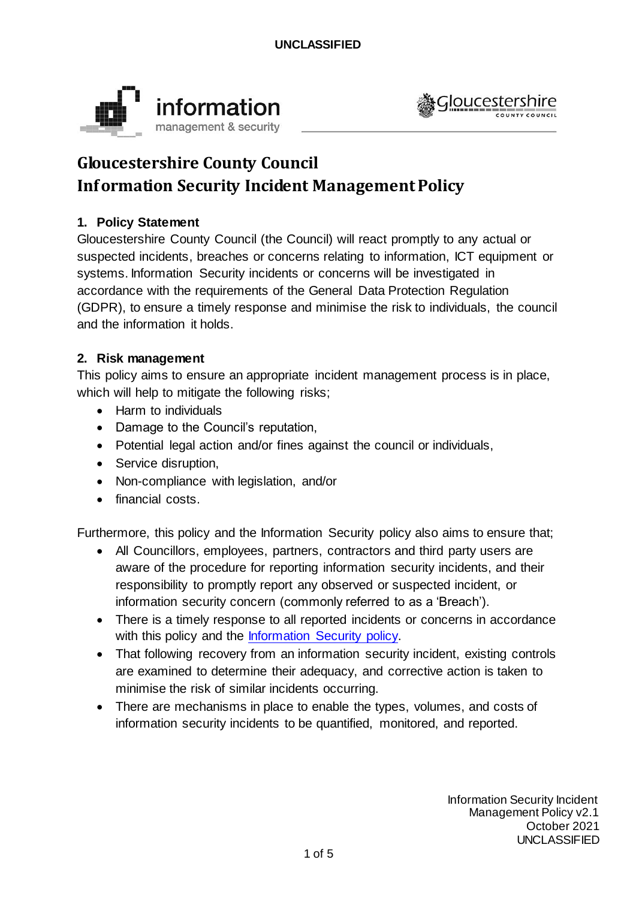



# **Gloucestershire County Council Inf ormation Security Incident Management Policy**

## **1. Policy Statement**

Gloucestershire County Council (the Council) will react promptly to any actual or suspected incidents, breaches or concerns relating to information, ICT equipment or systems. Information Security incidents or concerns will be investigated in accordance with the requirements of the General Data Protection Regulation (GDPR), to ensure a timely response and minimise the risk to individuals, the council and the information it holds.

#### **2. Risk management**

This policy aims to ensure an appropriate incident management process is in place, which will help to mitigate the following risks;

- Harm to individuals
- Damage to the Council's reputation,
- Potential legal action and/or fines against the council or individuals,
- Service disruption,
- Non-compliance with legislation, and/or
- financial costs.

Furthermore, this policy and the Information Security policy also aims to ensure that;

- All Councillors, employees, partners, contractors and third party users are aware of the procedure for reporting information security incidents, and their responsibility to promptly report any observed or suspected incident, or information security concern (commonly referred to as a 'Breach').
- There is a timely response to all reported incidents or concerns in accordance with this policy and the [Information Security](https://www.gloucestershire.gov.uk/media/2103613/information-security-policy-v43.pdf) policy.
- That following recovery from an information security incident, existing controls are examined to determine their adequacy, and corrective action is taken to minimise the risk of similar incidents occurring.
- There are mechanisms in place to enable the types, volumes, and costs of information security incidents to be quantified, monitored, and reported.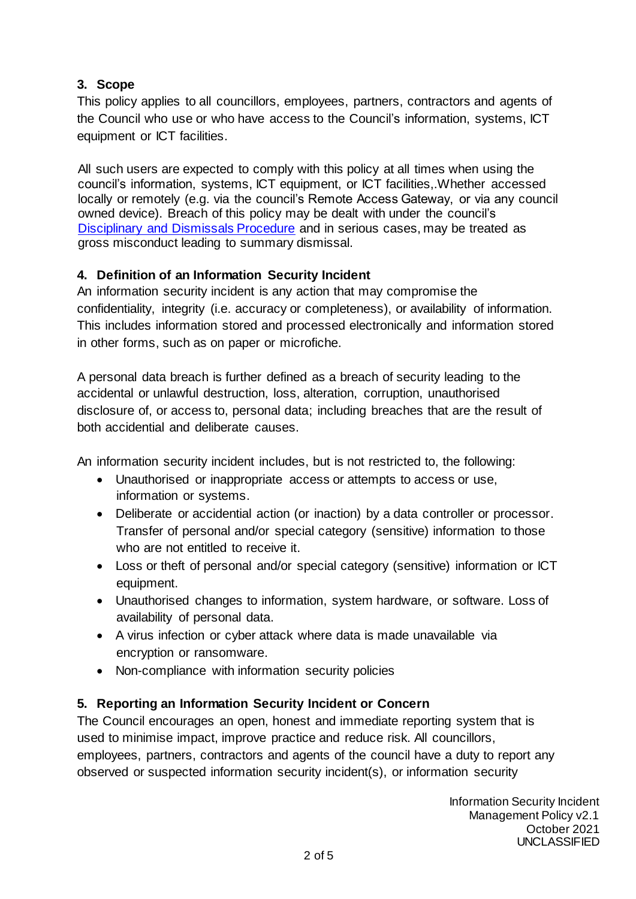## **3. Scope**

This policy applies to all councillors, employees, partners, contractors and agents of the Council who use or who have access to the Council's information, systems, ICT equipment or ICT facilities.

All such users are expected to comply with this policy at all times when using the council's information, systems, ICT equipment, or ICT facilities,.Whether accessed locally or remotely (e.g. via the council's Remote Access Gateway, or via any council owned device). Breach of this policy may be dealt with under the council's [Disciplinary and Dismissals Procedure](https://staffnet.gloucestershire.gov.uk/employee-information-and-support/hr-and-employment-handbook/disciplinary-and-dismissals/) and in serious cases, may be treated as gross misconduct leading to summary dismissal.

## **4. Definition of an Information Security Incident**

An information security incident is any action that may compromise the confidentiality, integrity (i.e. accuracy or completeness), or availability of information. This includes information stored and processed electronically and information stored in other forms, such as on paper or microfiche.

A personal data breach is further defined as a breach of security leading to the accidental or unlawful destruction, loss, alteration, corruption, unauthorised disclosure of, or access to, personal data; including breaches that are the result of both accidential and deliberate causes.

An information security incident includes, but is not restricted to, the following:

- Unauthorised or inappropriate access or attempts to access or use, information or systems.
- Deliberate or accidential action (or inaction) by a data controller or processor. Transfer of personal and/or special category (sensitive) information to those who are not entitled to receive it.
- Loss or theft of personal and/or special category (sensitive) information or ICT equipment.
- Unauthorised changes to information, system hardware, or software. Loss of availability of personal data.
- A virus infection or cyber attack where data is made unavailable via encryption or ransomware.
- Non-compliance with information security policies

#### **5. Reporting an Information Security Incident or Concern**

The Council encourages an open, honest and immediate reporting system that is used to minimise impact, improve practice and reduce risk. All councillors, employees, partners, contractors and agents of the council have a duty to report any observed or suspected information security incident(s), or information security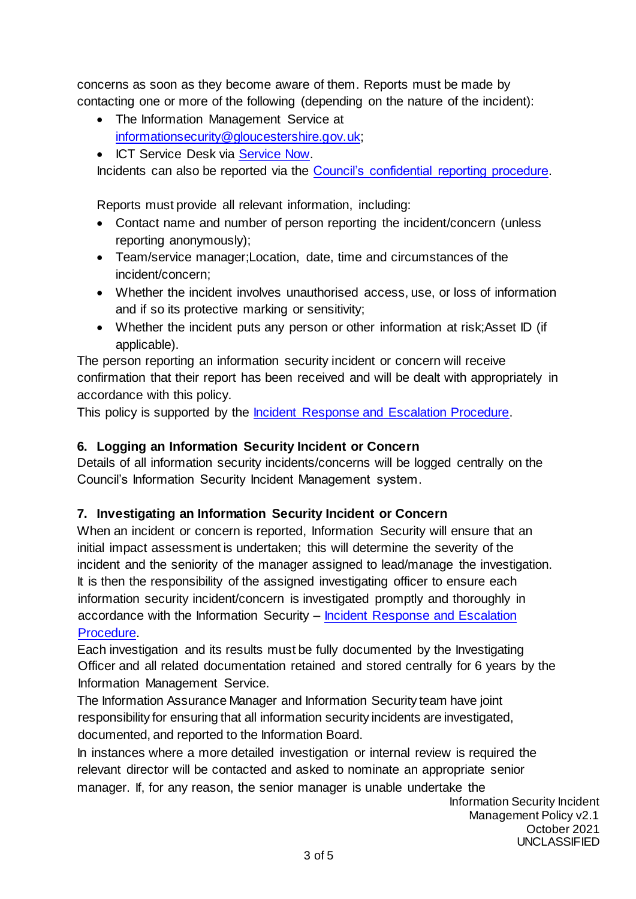concerns as soon as they become aware of them. Reports must be made by contacting one or more of the following (depending on the nature of the incident):

- The Information Management Service at [informationsecurity@gloucestershire.gov.uk;](mailto:informationsecurity@gloucestershire.gov.uk)
- ICT Service Desk via [Service Now.](https://gcc.service-now.com/)

Incidents can also be reported via the [Council's confidential reporting procedure.](https://staffnet.gloucestershire.gov.uk/employee-information-and-support/hr-and-employment-handbook/grievance-resolution-process/guidance/general-guidance/whistleblowing/)

Reports must provide all relevant information, including:

- Contact name and number of person reporting the incident/concern (unless reporting anonymously);
- Team/service manager;Location, date, time and circumstances of the incident/concern;
- Whether the incident involves unauthorised access, use, or loss of information and if so its protective marking or sensitivity;
- Whether the incident puts any person or other information at risk; Asset ID (if applicable).

The person reporting an information security incident or concern will receive confirmation that their report has been received and will be dealt with appropriately in accordance with this policy.

This policy is supported by the [Incident Response and Escalation Procedure.](https://staffnet.gloucestershire.gov.uk/internal-services/information-management-service/information-security-incidents/)

## **6. Logging an Information Security Incident or Concern**

Details of all information security incidents/concerns will be logged centrally on the Council's Information Security Incident Management system.

## **7. Investigating an Information Security Incident or Concern**

When an incident or concern is reported, Information Security will ensure that an initial impact assessment is undertaken; this will determine the severity of the incident and the seniority of the manager assigned to lead/manage the investigation. It is then the responsibility of the assigned investigating officer to ensure each information security incident/concern is investigated promptly and thoroughly in accordance with the Information Security – [Incident Response and Escalation](https://staffnet.gloucestershire.gov.uk/internal-services/information-management-service/information-security-incidents/)  [Procedure.](https://staffnet.gloucestershire.gov.uk/internal-services/information-management-service/information-security-incidents/)

Each investigation and its results must be fully documented by the Investigating Officer and all related documentation retained and stored centrally for 6 years by the Information Management Service.

The Information Assurance Manager and Information Security team have joint responsibility for ensuring that all information security incidents are investigated, documented, and reported to the Information Board.

In instances where a more detailed investigation or internal review is required the relevant director will be contacted and asked to nominate an appropriate senior manager. If, for any reason, the senior manager is unable undertake the

Information Security Incident Management Policy v2.1 October 2021 UNCLASSIFIED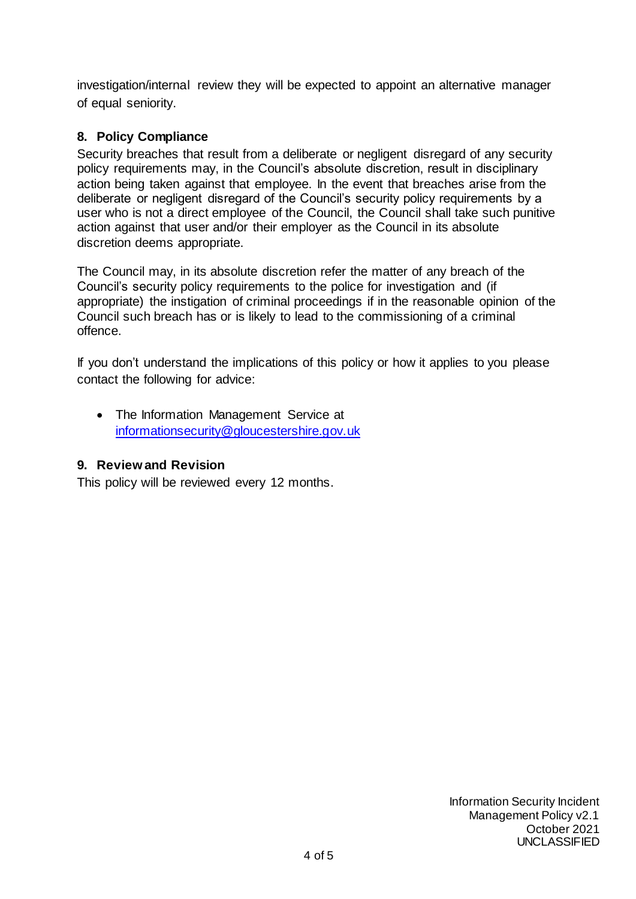investigation/internal review they will be expected to appoint an alternative manager of equal seniority.

## **8. Policy Compliance**

Security breaches that result from a deliberate or negligent disregard of any security policy requirements may, in the Council's absolute discretion, result in disciplinary action being taken against that employee. In the event that breaches arise from the deliberate or negligent disregard of the Council's security policy requirements by a user who is not a direct employee of the Council, the Council shall take such punitive action against that user and/or their employer as the Council in its absolute discretion deems appropriate.

The Council may, in its absolute discretion refer the matter of any breach of the Council's security policy requirements to the police for investigation and (if appropriate) the instigation of criminal proceedings if in the reasonable opinion of the Council such breach has or is likely to lead to the commissioning of a criminal offence.

If you don't understand the implications of this policy or how it applies to you please contact the following for advice:

• The Information Management Service at [informationsecurity@gloucestershire.gov.uk](mailto:informationsecurity@gloucestershire.gov.uk)

#### **9. Review and Revision**

This policy will be reviewed every 12 months.